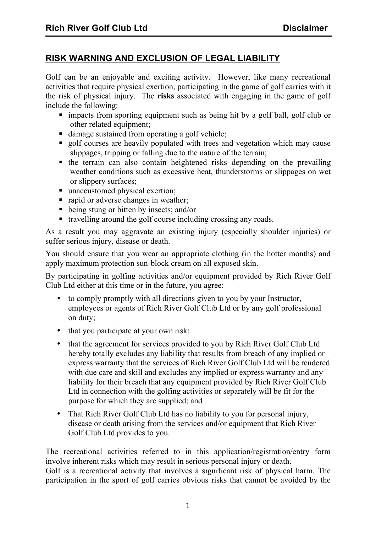## **RISK WARNING AND EXCLUSION OF LEGAL LIABILITY**

Golf can be an enjoyable and exciting activity. However, like many recreational activities that require physical exertion, participating in the game of golf carries with it the risk of physical injury. The **risks** associated with engaging in the game of golf include the following:

- ! impacts from sporting equipment such as being hit by a golf ball, golf club or other related equipment;
- ! damage sustained from operating a golf vehicle;
- ! golf courses are heavily populated with trees and vegetation which may cause slippages, tripping or falling due to the nature of the terrain;
- ! the terrain can also contain heightened risks depending on the prevailing weather conditions such as excessive heat, thunderstorms or slippages on wet or slippery surfaces;
- unaccustomed physical exertion:
- rapid or adverse changes in weather;
- ! being stung or bitten by insects; and/or
- ! travelling around the golf course including crossing any roads.

As a result you may aggravate an existing injury (especially shoulder injuries) or suffer serious injury, disease or death.

You should ensure that you wear an appropriate clothing (in the hotter months) and apply maximum protection sun-block cream on all exposed skin.

By participating in golfing activities and/or equipment provided by Rich River Golf Club Ltd either at this time or in the future, you agree:

- to comply promptly with all directions given to you by your Instructor, employees or agents of Rich River Golf Club Ltd or by any golf professional on duty;
- that you participate at your own risk;
- that the agreement for services provided to you by Rich River Golf Club Ltd hereby totally excludes any liability that results from breach of any implied or express warranty that the services of Rich River Golf Club Ltd will be rendered with due care and skill and excludes any implied or express warranty and any liability for their breach that any equipment provided by Rich River Golf Club Ltd in connection with the golfing activities or separately will be fit for the purpose for which they are supplied; and
- That Rich River Golf Club Ltd has no liability to you for personal injury, disease or death arising from the services and/or equipment that Rich River Golf Club Ltd provides to you.

The recreational activities referred to in this application/registration/entry form involve inherent risks which may result in serious personal injury or death. Golf is a recreational activity that involves a significant risk of physical harm. The participation in the sport of golf carries obvious risks that cannot be avoided by the